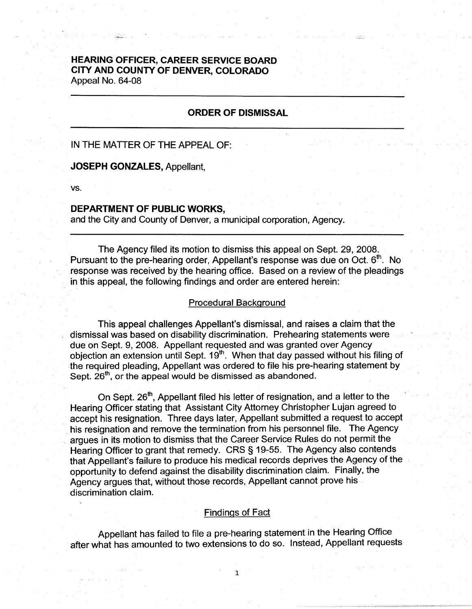# **HEARING OFFICER, CAREER SERVICE BOARD CITY AND COUNTY OF DENVER, COLORADO**  Appeal No. 64-08

## **ORDER OF DISMISSAL**

## IN THE MATTER OF THE APPEAL OF:

## **JOSEPH GONZALES,** Appellant,

**vs.** 

#### **DEPARTMENT OF PUBLIC WORKS,**

and the City and County of Denver, a municipal corporation, Agency.

The Agency filed its motion to dismiss this appeal on Sept. 29, 2008. Pursuant to the pre-hearing order. Appellant's response was due on Oct.  $6<sup>th</sup>$ . No response was received by the hearing office. Based on a review of the pleadings in this appeal, the following findings and order are entered herein:

#### Procedural Background

This appeal challenges Appellant's dismissal, and raises a claim that the dismissal was based on disability discrimination. Prehearing statements were due on Sept. 9, 2008. Appellant requested and was granted over Agency objection an extension until Sept.  $19<sup>th</sup>$ . When that day passed without his filing of the required pleading, Appellant was ordered to file his pre-hearing statement by Sept.  $26<sup>th</sup>$ , or the appeal would be dismissed as abandoned.

On Sept. 26<sup>th</sup>, Appellant filed his letter of resignation, and a letter to the Hearing Officer stating that Assistant City Attorney Christopher Lujan agreed to accept his resignation. Three days later, Appellant submitted a request to accept . his resignation and remove the termination from his personnel file. The Agency argues in its motion to dismiss that the Career Service Rules do not permit the Hearing Officer to grant that remedy. CRS § 19-55. The Agency also contends that Appellant's failure to produce his medical records deprives the Agency of the opportunity to defend against the disability discrimination claim. Finally, the Agency argues that, without those records, Appellant cannot prove his discrimination claim.

### Findings of Fact

Appellant has failed to file a pre-hearing statement in the Hearing Office after what has amounted to two extensions to do so. Instead, Appellant requests